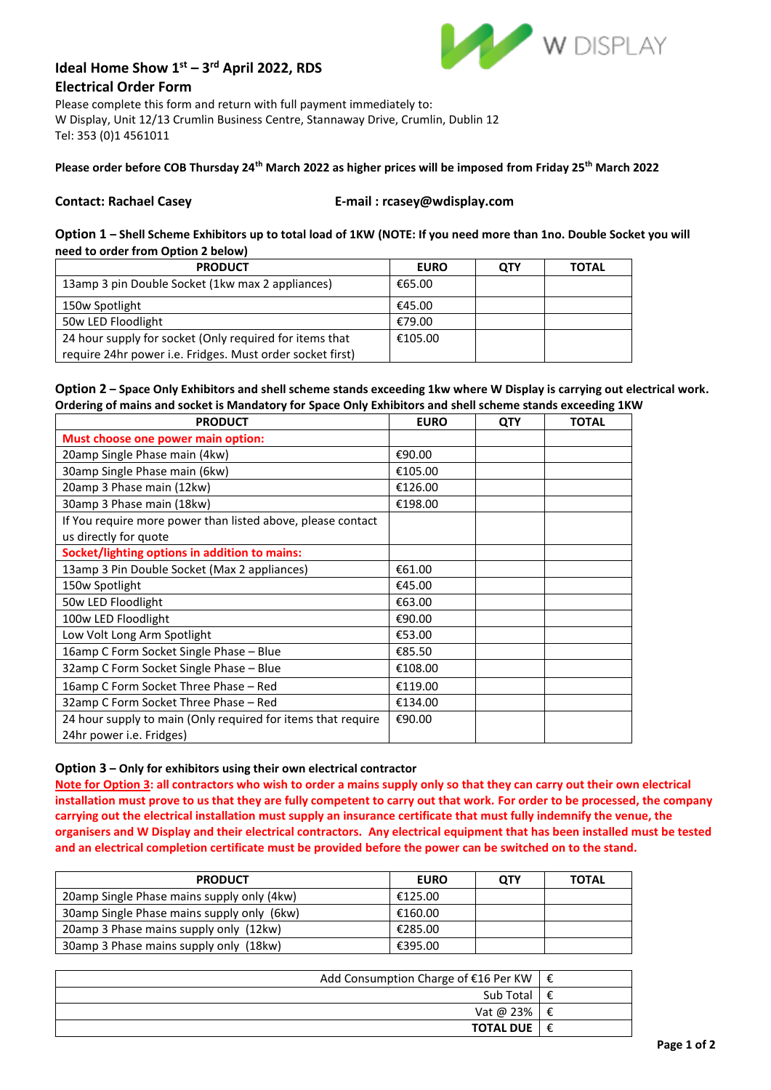

# **Ideal Home Show 1st – 3 rd April 2022, RDS Electrical Order Form**

Please complete this form and return with full payment immediately to: W Display, Unit 12/13 Crumlin Business Centre, Stannaway Drive, Crumlin, Dublin 12 Tel: 353 (0)1 4561011

# **Please order before COB Thursday 24th March 2022 as higher prices will be imposed from Friday 25th March 2022**

#### **Contact: Rachael Casey E-mail : rcasey@wdisplay.com**

**Option 1 – Shell Scheme Exhibitors up to total load of 1KW (NOTE: If you need more than 1no. Double Socket you will need to order from Option 2 below)**

| <b>PRODUCT</b>                                            | <b>EURO</b> | QTY | TOTAL |
|-----------------------------------------------------------|-------------|-----|-------|
| 13amp 3 pin Double Socket (1kw max 2 appliances)          | €65.00      |     |       |
| 150w Spotlight                                            | €45.00      |     |       |
| 50w LED Floodlight                                        | €79.00      |     |       |
| 24 hour supply for socket (Only required for items that   | €105.00     |     |       |
| require 24hr power i.e. Fridges. Must order socket first) |             |     |       |

# **Option 2 – Space Only Exhibitors and shell scheme stands exceeding 1kw where W Display is carrying out electrical work. Ordering of mains and socket is Mandatory for Space Only Exhibitors and shell scheme stands exceeding 1KW**

| <b>PRODUCT</b>                                                                           | <b>EURO</b> | <b>QTY</b> | TOTAL |
|------------------------------------------------------------------------------------------|-------------|------------|-------|
| Must choose one power main option:                                                       |             |            |       |
| 20amp Single Phase main (4kw)                                                            | €90.00      |            |       |
| 30amp Single Phase main (6kw)                                                            | €105.00     |            |       |
| 20amp 3 Phase main (12kw)                                                                | €126.00     |            |       |
| 30amp 3 Phase main (18kw)                                                                | €198.00     |            |       |
| If You require more power than listed above, please contact<br>us directly for quote     |             |            |       |
| Socket/lighting options in addition to mains:                                            |             |            |       |
| 13amp 3 Pin Double Socket (Max 2 appliances)                                             | €61.00      |            |       |
| 150w Spotlight                                                                           | €45.00      |            |       |
| 50w LED Floodlight                                                                       | €63.00      |            |       |
| 100w LED Floodlight                                                                      | €90.00      |            |       |
| Low Volt Long Arm Spotlight                                                              | €53.00      |            |       |
| 16amp C Form Socket Single Phase - Blue                                                  | €85.50      |            |       |
| 32amp C Form Socket Single Phase - Blue                                                  | €108.00     |            |       |
| 16amp C Form Socket Three Phase - Red                                                    | €119.00     |            |       |
| 32amp C Form Socket Three Phase - Red                                                    | €134.00     |            |       |
| 24 hour supply to main (Only required for items that require<br>24hr power i.e. Fridges) | €90.00      |            |       |

### **Option 3 – Only for exhibitors using their own electrical contractor**

**Note for Option 3: all contractors who wish to order a mains supply only so that they can carry out their own electrical installation must prove to us that they are fully competent to carry out that work. For order to be processed, the company carrying out the electrical installation must supply an insurance certificate that must fully indemnify the venue, the organisers and W Display and their electrical contractors. Any electrical equipment that has been installed must be tested and an electrical completion certificate must be provided before the power can be switched on to the stand.** 

| <b>PRODUCT</b>                             | <b>EURO</b> | <b>OTY</b> | <b>TOTAL</b> |
|--------------------------------------------|-------------|------------|--------------|
| 20amp Single Phase mains supply only (4kw) | €125.00     |            |              |
| 30amp Single Phase mains supply only (6kw) | €160.00     |            |              |
| 20amp 3 Phase mains supply only (12kw)     | €285.00     |            |              |
| 30amp 3 Phase mains supply only (18kw)     | €395.00     |            |              |

| Add Consumption Charge of $E16$ Per KW   $E$ |   |
|----------------------------------------------|---|
| Sub Total $\exists$ $\epsilon$               |   |
| Vat @ 23% $\mathcal{E}$                      |   |
| <b>TOTAL DUE  </b>                           | € |